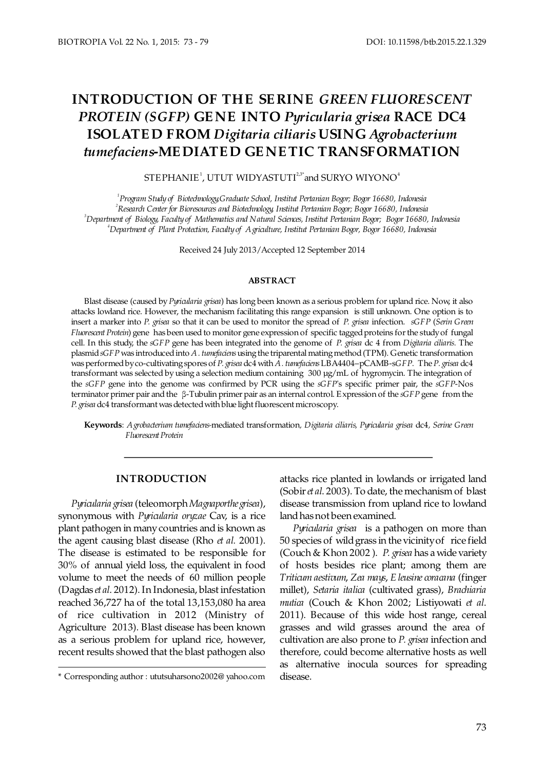# **INTRODUCTION OF THE SE RINE** *GREEN FLUORESCENT PROTEIN (SGFP)* GENE INTO Pyricularia grisea RACE DC4 **ISOLATE D FROM USING** *Digitaria ciliaris Agrobacterium tumefaciens***-ME DIATE D GE NE TIC TRANSFORMATION**

 $\rm{STEPHANIE}^1$  ,  $\rm{UTUT}$   $\rm{WIDYASTUTI}^{23^*}$  and  $\rm{SURYO}$   $\rm{WIYONO}^4$ 

 *Program Study of Graduate School, Institut Pertania Biotechnology, n Bogor; Bogor 16680, Indonesia Research Center for Bioresources and Biotechnology, Institut Pertanian Bogor; Bogor 16680, Indonesia* <sup>3</sup>Department of Biology, Faculty of Mathematics and Natural Sciences, Institut Pertanian Bogor; Bogor 16680, Indonesia *Department of , Faculty of Agriculture, Institut Pe Plant Protection rtanian Bogor, Bogor 16680, Indonesia*

Received 24 July 2013/Accepted 12 September 2014

#### **ABSTRACT**

Blast disease (caused by Pyricularia grisea) has long been known as a serious problem for upland rice. Now, it also attacks lowland rice. However, the mechanism facilitating this range expansion is still unknown. One option is to insert a marker into P. grisea so that it can be used to monitor the spread of P. grisea infection. *sGFP* (*Serin Green Fluorescent Protein*) gene has been used to monitor gene expression of specific tagged proteins for the study of fungal cell. In this study, the sGFP gene has been integrated into the genome of P. grisea dc 4 from *Digitaria ciliaris*. The plasmid sGFP was introduced into A. tumefaciens using the triparental mating method (TPM). Genetic transformation was performed by co-cultivating spores of *P. grisea* dc4 with A. tumefaciens LBA4404-pCAMB-sGFP. The *P. grisea* dc4 transformant was selected by using a selection medium containing 300 µg/mL of hygromycin. The integration of the *sGFP* gene into the genome was confirmed by PCR using the *sGFP*'s specific primer pair, the *sGFP*-Nos terminator primer pair and the β-Tubulin primer pair as an internal control. Expression of the *sGFP* gene from the *P. grisea* dc4 transformant was detected with blue light fluorescent microscopy.

Keywords: Agrobacterium tumefaciens-mediated transformation, Digitaria ciliaris, Pyricularia grisea dc4, Serine Green *Fluorescent Protein*

# **INTRODUCTION**

Pyricularia grisea (teleomorph Magnaporthe grisea), synonymous with Pyricularia oryzae Cav, is a rice plant pathogen in many countries and is known as the agent causing blast disease (Rho *et al.* 2001). The disease is estimated to be responsible for 30% of annual yield loss, the equivalent in food volume to meet the needs of 60 million people (Dagdas et al. 2012). In Indonesia, blast infestation reached 36,727 ha of the total 13,153,080 ha area of rice cultivation in 2012 (Ministry of Agriculture 2013). Blast disease has been known as a serious problem for upland rice, however, recent results showed that the blast pathogen also

attacks rice planted in lowlands or irrigated land (Sobir *et al.* 2003). To date, the mechanism of blast disease transmission from upland rice to lowland land has not been examined.

*Pyricularia grisea* is a pathogen on more than 50 species of wild grass in the vicinity of rice field (Couch & Khon 2002). P. grisea has a wide variety of hosts besides rice plant; among them are *Triticum aestivum, Zea mays, E leusine coracana* (finger millet), Setaria italica (cultivated grass), Brachiaria *mutica* (Couch & Khon 2002; Listiyowati et al. 2011). Because of this wide host range, cereal grasses and wild grasses around the area of cultivation are also prone to P. grisea infection and therefore, could become alternative hosts as well as alternative inocula sources for spreading

<sup>\*</sup> Corresponding author : [ututsuharsono2002@ yahoo.com](mailto:ututsuharsono2002@yahoo.com) disease.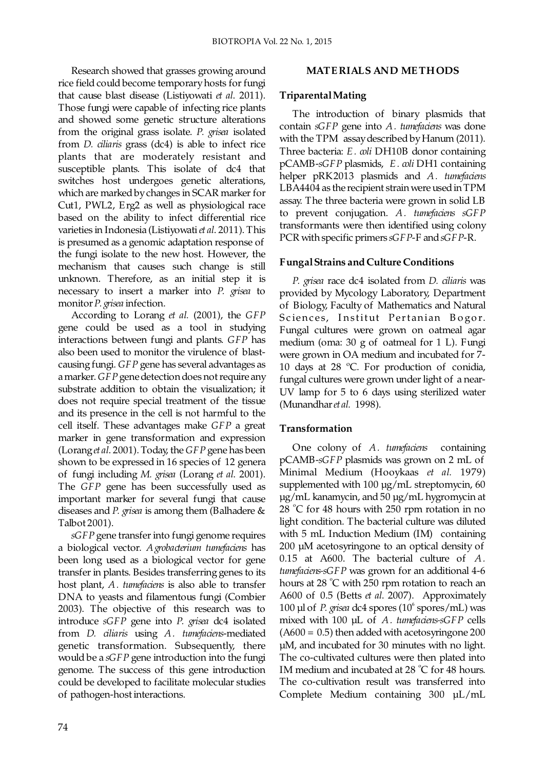Research showed that grasses growing around rice field could become temporary hosts for fungi that cause blast disease (Listiyowati *et al.* 2011). Those fungi were capable of infecting rice plants and showed some genetic structure alterations from the original grass isolate. P. grisea isolated from *D. ciliaris* grass (dc4) is able to infect rice plants that are moderately resistant and susceptible plants. This isolate of dc4 that switches host undergoes genetic alterations, which are marked by changes in SCAR marker for Cut1, PWL2, Erg2 as well as physiological race based on the ability to infect differential rice varieties in Indonesia (Listiyowati *et al.* 2011). This is presumed as a genomic adaptation response of the fungi isolate to the new host. However, the mechanism that causes such change is still unknown. Therefore, as an initial step it is necessary to insert a marker into *P. grisea* to monitor *P. grisea* infection.

According to Lorang et al. (2001), the *GFP* gene could be used as a tool in studying interactions between fungi and plants. GFP has also been used to monitor the virulence of blastcausing fungi. GFP gene has several advantages as a marker. GFP gene detection does not require any substrate addition to obtain the visualization; it does not require special treatment of the tissue and its presence in the cell is not harmful to the cell itself. These advantages make GFP a great marker in gene transformation and expression (Lorang et al. 2001). Today, the GFP gene has been shown to be expressed in 16 species of 12 genera of fungi including M. grisea (Lorang et al. 2001). The GFP gene has been successfully used as important marker for several fungi that cause diseases and *P. grisea* is among them (Balhadere & Talbot 2001).

*sGFP* gene transfer into fungi genome requires a biological vector. A *grobacterium tumefaciens* has been long used as a biological vector for gene transfer in plants. Besides transferring genes to its host plant, A. tumefaciens is also able to transfer DNA to yeasts and filamentous fungi (Combier 2003). The objective of this research was to introduce sGFP gene into P. grisea dc4 isolated from *D. ciliaris* using *A. tumefaciens*-mediated genetic transformation. Subsequently, there would be a sGFP gene introduction into the fungi genome. The success of this gene introduction could be developed to facilitate molecular studies of pathogen-host interactions.

# **MATE RIALS AND ME THODS**

## **Triparental Mating**

 The introduction of binary plasmids that contain sGFP gene into A. tumefaciens was done with the TPM assay described by Hanum (2011). Three bacteria: E. *coli* DH10B donor containing pCAMB-sGFP plasmids, E. *coli* DH1 containing helper pRK2013 plasmids and *A. tumefaciens* LBA4404 as the recipient strain were used in TPM assay. The three bacteria were grown in solid LB to prevent conjugation. *A. tumefaciens sGFP* transformants were then identified using colony PCR with specific primers  $sGFP$ -F and  $sGFP$ -R.

# **Fungal Strains and Culture Conditions**

*P. grisea race dc4 isolated from D. ciliaris* was provided by Mycology Laboratory, Department of Biology, Faculty of Mathematics and Natural Sciences, Institut Pertanian Bogor. Fungal cultures were grown on oatmeal agar medium (oma: 30 g of oatmeal for 1 L). Fungi were grown in OA medium and incubated for 7- 10 days at 28 ºC. For production of conidia, fungal cultures were grown under light of a near-UV lamp for 5 to 6 days using sterilized water (Munandhar et al. 1998).

## **Transformation**

One colony of A. tumefaciens containing pCAMB-sGFP plasmids was grown on 2 mL of Minimal Medium (Hooykaas et al. 1979) supplemented with  $100 \mu g/mL$  streptomycin, 60 µg/mL kanamycin, and 50 µg/mL hygromycin at  $28 °C$  for 48 hours with 250 rpm rotation in no light condition. The bacterial culture was diluted with 5 mL Induction Medium (IM) containing  $200 \mu M$  acetosyringone to an optical density of 0.15 at A600. The bacterial culture of *A. tumefaciens-sGFP* was grown for an additional 4-6 hours at 28  $^{\circ}$ C with 250 rpm rotation to reach an A600 of 0.5 (Betts *et al.* 2007). Approximately 100  $\mu$ l of *P. grisea* dc4 spores (10 $\degree$  spores/mL) was mixed with 100 µL of A. tumefaciens-sGFP cells  $(A600 = 0.5)$  then added with acetosyringone 200 µM, and incubated for 30 minutes with no light. The co-cultivated cultures were then plated into IM medium and incubated at 28  $^{\circ}$ C for 48 hours. The co-cultivation result was transferred into Complete Medium containing 300 µL/mL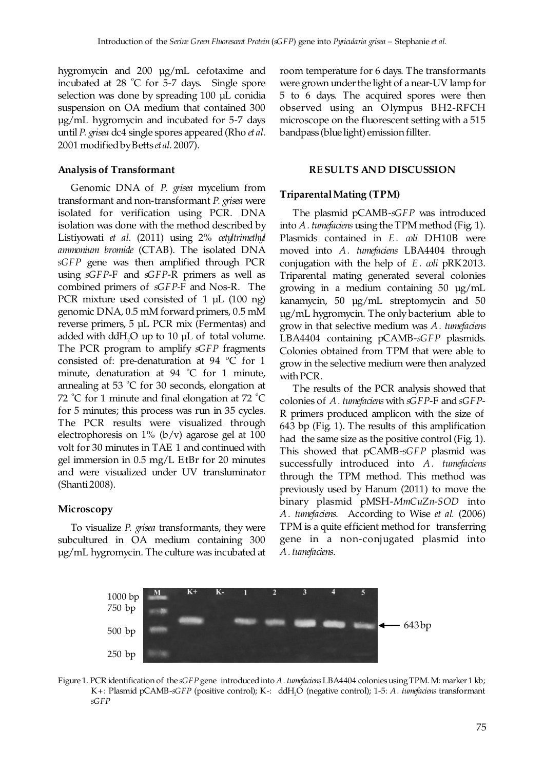hygromycin and 200 µg/mL cefotaxime and incubated at  $28$  °C for 5-7 days. Single spore selection was done by spreading 100 µL conidia suspension on OA medium that contained 300  $\mu$ g/mL hygromycin and incubated for 5-7 days until P. grisea dc4 single spores appeared (Rho *et al.* 2001 modified by Betts et al. 2007).

#### **Analysis of Transformant**

Genomic DNA of *P. grisea* mycelium from transformant and non-transformant P. grisea were isolated for verification using PCR. DNA isolation was done with the method described by Listiyowati et al. (2011) using 2% cetyltrimethyl *ammonium bromide* (CTAB). The isolated DNA *sGFP* gene was then amplified through PCR using  $sGFP-F$  and  $sGFP-R$  primers as well as combined primers of *sGFP-F* and Nos-R. The PCR mixture used consisted of 1 µL (100 ng) genomic DNA, 0.5 mM forward primers, 0.5 mM reverse primers, 5 µL PCR mix (Fermentas) and added with dd $H_2O$  up to 10  $\mu$ L of total volume. The PCR program to amplify *sGFP* fragments consisted of: pre-denaturation at 94 ºC for 1 minute, denaturation at 94  $^{\circ}$ C for 1 minute, annealing at 53  $\degree$ C for 30 seconds, elongation at 72 °C for 1 minute and final elongation at 72 °C for 5 minutes; this process was run in 35 cycles. The PCR results were visualized through electrophoresis on  $1\%$  (b/v) agarose gel at 100 volt for 30 minutes in TAE 1 and continued with gel immersion in 0.5 mg/L EtBr for 20 minutes and were visualized under UV transluminator (Shanti 2008).

## **Microscopy**

To visualize P. grisea transformants, they were subcultured in OA medium containing 300 µg/mL hygromycin. The culture was incubated at room temperature for 6 days. The transformants were grown under the light of a near-UV lamp for 5 to 6 days. The acquired spores were then observed using an Olympus BH2-RFCH microscope on the fluorescent setting with a 515 bandpass (blue light) emission fillter.

#### **RE SULTS AND DISCUSSION**

## **Triparental Mating (TPM)**

The plasmid pCAMB-sGFP was introduced into A. tumefaciens using the TPM method (Fig. 1). Plasmids contained in E. *coli* DH10B were moved into A. tumefaciens LBA4404 through conjugation with the help of E. *coli* pRK2013. Triparental mating generated several colonies growing in a medium containing 50 µg/mL kanamycin, 50 µg/mL streptomycin and 50 µg/mL hygromycin. The only bacterium able to grow in that selective medium was *A. tumefaciens* LBA4404 containing pCAMB-sGFP plasmids. Colonies obtained from TPM that were able to grow in the selective medium were then analyzed with PCR.

 The results of the PCR analysis showed that colonies of A. tumefaciens with  $sGFP$ -F and  $sGFP$ -R primers produced amplicon with the size of 643 bp (Fig. ). The results of this amplification 1 had the same size as the positive control (Fig. 1). This showed that pCAMB-sGFP plasmid was successfully introduced into *A*. tumefaciens through the TPM method. This method was previously used by Hanum (2011) to move the binary plasmid pMSH- $MmCuZn-SOD$  into A. tumefaciens. According to Wise et al. (2006) TPM is a quite efficient method for transferring gene in a non-conjugated plasmid into *A. tumefaciens*.



Figure 1. PCR identification of the sGFP gene introduced into A. tumefaciens LBA4404 colonies using TPM. M: marker 1 kb; K+: Plasmid pCAMB-sGFP (positive control); K-: ddH<sub>2</sub>O (negative control); 1-5: A. tumefaciens transformant *sGFP*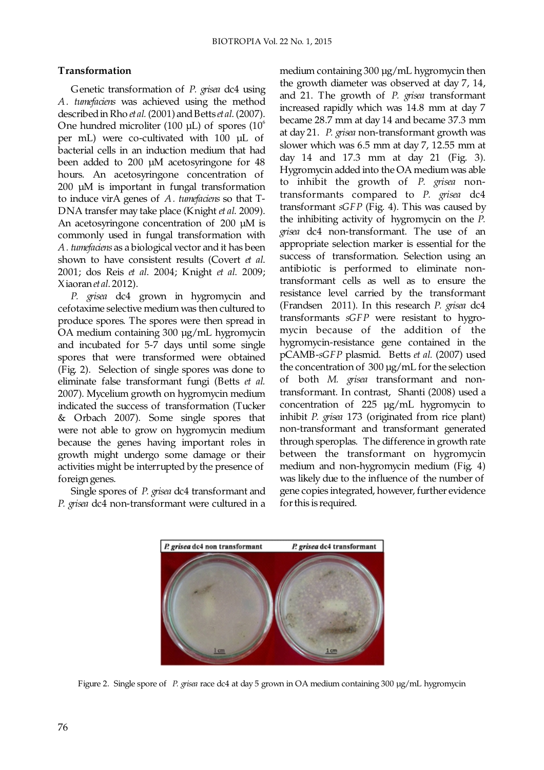# **Transformation**

Genetic transformation of P. grisea dc4 using A. tumefaciens was achieved using the method described in Rho *et al.* (2001) and Betts *et al.* (2007). One hundred microliter (100  $\mu$ L) of spores (10<sup> $\degree$ </sup>) per mL) were co-cultivated with  $100$   $\mu$ L of bacterial cells in an induction medium that had been added to 200 µM acetosyringone for 48 hours. An acetosyringone concentration of 200 µM is important in fungal transformation to induce virA genes of A. tumefaciens so that T-DNA transfer may take place (Knight et al. 2009). An acetosyringone concentration of  $200 \mu M$  is commonly used in fungal transformation with *A. tumefaciens* as a biological vector and it has been shown to have consistent results (Covert et al. 2001; dos Reis et al. 2004; Knight et al. 2009; Xiaoran et al. 2012).

*P. grisea* dc4 grown in hygromycin and cefotaxime selective medium was then cultured to produce spores. The spores were then spread in OA medium containing 300 µg/mL hygromycin and incubated for 5-7 days until some single spores that were transformed were obtained (Fig. 2). Selection of single spores was done to eliminate false transformant fungi (Betts *et al.* 2007). Mycelium growth on hygromycin medium indicated the success of transformation (Tucker  $&Orbach$  2007). Some single spores that were not able to grow on hygromycin medium because the genes having important roles in growth might undergo some damage or their activities might be interrupted by the presence of foreign genes.

Single spores of P. grisea dc4 transformant and *P. grisea* dc4 non-transformant were cultured in a medium containing 300 µg/mL hygromycin then the growth diameter was observed at day 7, 14, and 21. The growth of P. grisea transformant increased rapidly which was 14.8 mm at day 7 became 28.7 mm at day 14 and became 37.3 mm at day 21. P. grisea non-transformant growth was slower which was 6.5 mm at day 7, 12.55 mm at day 14 and 17.3 mm at day 21 (Fig. 3). Hygromycin added into the OA medium was able to inhibit the growth of *P. grisea* nontransformants compared to P. grisea dc4 transformant sGFP (Fig. 4). This was caused by the inhibiting activity of hygromycin on the *P. grisea* dc4 non-transformant. The use of an appropriate selection marker is essential for the success of transformation. Selection using an antibiotic is performed to eliminate nontransformant cells as well as to ensure the resistance level carried by the transformant (Frandsen 2011). In this research P. grisea dc4 transformants sGFP were resistant to hygromycin because of the addition of the hygromycin-resistance gene contained in the pCAMB-sGFP plasmid. Betts et al. (2007) used the concentration of 300 µg/mL for the selection of both M. grisea transformant and nontransformant. In contrast, Shanti (2008) used a concentration of 225 µg/mL hygromycin to inhibit P. grisea 173 (originated from rice plant) non-transformant and transformant generated through speroplas. The difference in growth rate between the transformant on hygromycin medium and non-hygromycin medium (Fig. 4) was likely due to the influence of the number of gene copies integrated, however, further evidence for this is required.



Figure 2. Single spore of P. grisea race dc4 at day 5 grown in OA medium containing 300 µg/mL hygromycin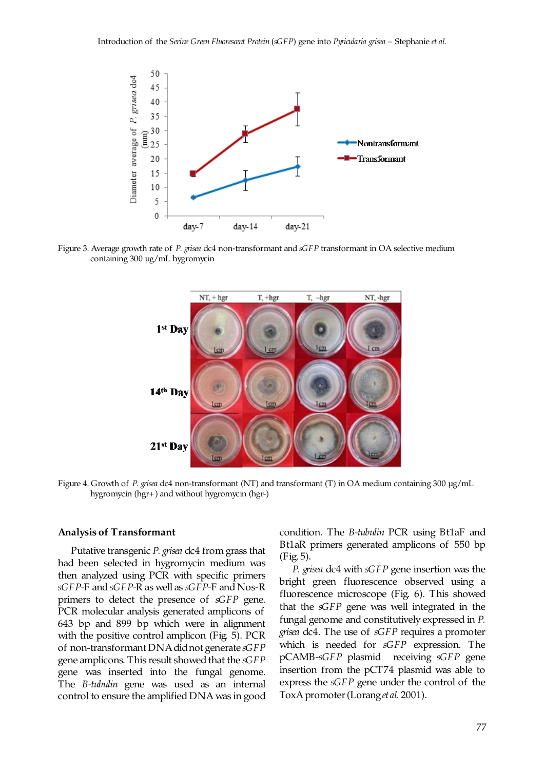

Figure 3. Average growth rate of P. grisea dc4 non-transformant and sGFP transformant in OA selective medium containing 300 µg/mL hygromycin



Figure 4. Growth of P. grisea dc4 non-transformant (NT) and *transformant* (T) in OA medium containing 300 µg/mL hygromycin (hgr+) and without hygromycin (hgr-)

#### **Analysis of Transformant**

Putative transgenic P. grisea dc4 from grass that had been selected in hygromycin medium was then analyzed using PCR with specific primers sGFP-F and sGFP-R as well as sGFP-F and Nos-R primers to detect the presence of *sGFP* gene. PCR molecular analysis generated amplicons of 643 bp and 899 bp which were in alignment with the positive control amplicon (Fig.  $5$ ). PCR of non-transformant DNA did not generate *sGFP* gene amplicons. This result showed that the *sGFP* gene was inserted into the fungal genome. The *B-tubulin* gene was used as an internal control to ensure the amplified DNA was in good condition. The *B-tubulin* PCR using Bt1aF and Bt1aR primers generated amplicons of 550 bp  $(Fig. 5)$ .

*P. grisea* dc4 with sGFP gene insertion was the bright green fluorescence observed using a fluorescence microscope (Fig. 6). This showed that the *sGFP* gene was well integrated in the fungal genome and constitutively expressed in *P. grisea* dc4. The use of *sGFP* requires a promoter which is needed for *sGFP* expression. The pCAMB-sGFP plasmid receiving sGFP gene insertion from the pCT74 plasmid was able to express the *sGFP* gene under the control of the ToxA promoter (Lorang *et al.* 2001).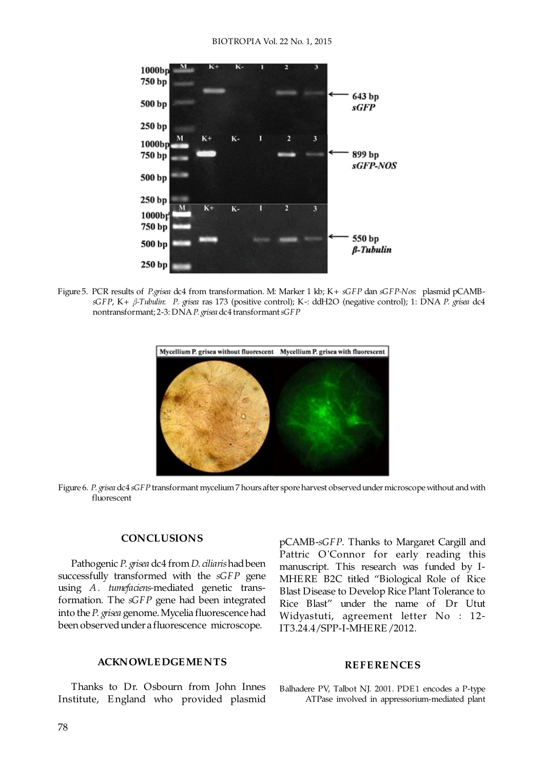

Figure 5. PCR results of *P.grisea* dc4 from transformation. M: Marker 1 kb; K+ sGFP dan sGFP-Nos: plasmid pCAMB*sGFP, K+*  $β$ *-Tubulin: P. grisea* ras 173 (positive control); K-: ddH2O (negative control); 1: DNA P. grisea dc4 nontransformant; 2-3: DNA P. grisea dc4 transformant *sGFP* 



Figure 6. P. grisea dc4 sGFP transformant mycelium 7 hours after spore harvest observed under microscope without and with fluorescent

#### **CONCLUSIONS**

Pathogenic P. grisea dc4 from *D. ciliaris* had been successfully transformed with the *sGFP* gene using A . tumefaciens-mediated genetic transformation. The *sGFP* gene had been integrated into the P. grisea genome. Mycelia fluorescence had been observed under a fluorescence microscope.

#### **ACKNOWLE DGE ME NTS**

 Thanks to Dr. Osbourn from John Innes Institute, E ngland who provided plasmid pCAMB-sGFP. Thanks to Margaret Cargill and Pattric O'Connor for early reading this manuscript. This research was funded by I-MHERE B2C titled "Biological Role of Rice Blast Disease to Develop Rice Plant Tolerance to Rice Blast" under the name of Dr Utut Widyastuti, agreement letter No : 12- IT3.24.4/SPP-I-MHERE/2012.

#### **RE FE RE NCE S**

Balhadere PV, Talbot NJ. 2001. PDE1 encodes a P-type ATPase involved in appressorium-mediated plant